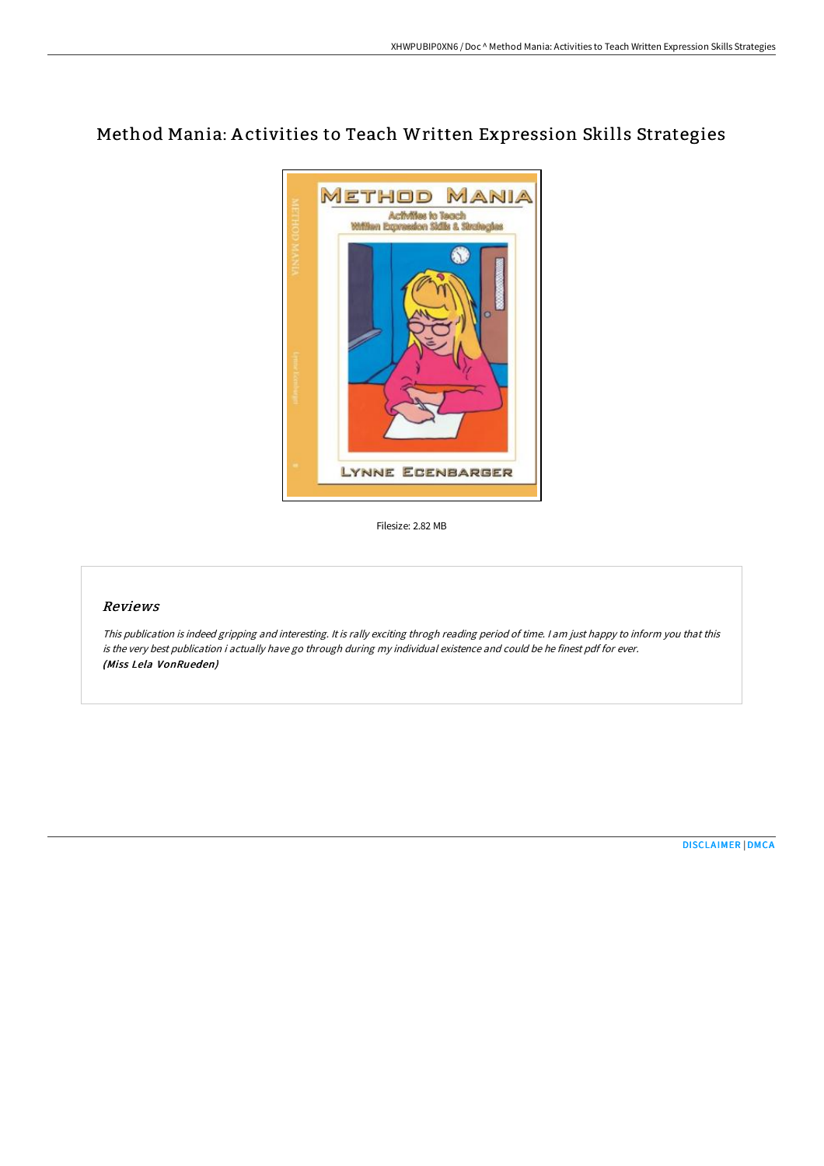## Method Mania: A ctivities to Teach Written Expression Skills Strategies



Filesize: 2.82 MB

## Reviews

This publication is indeed gripping and interesting. It is rally exciting throgh reading period of time. <sup>I</sup> am just happy to inform you that this is the very best publication i actually have go through during my individual existence and could be he finest pdf for ever. (Miss Lela VonRueden)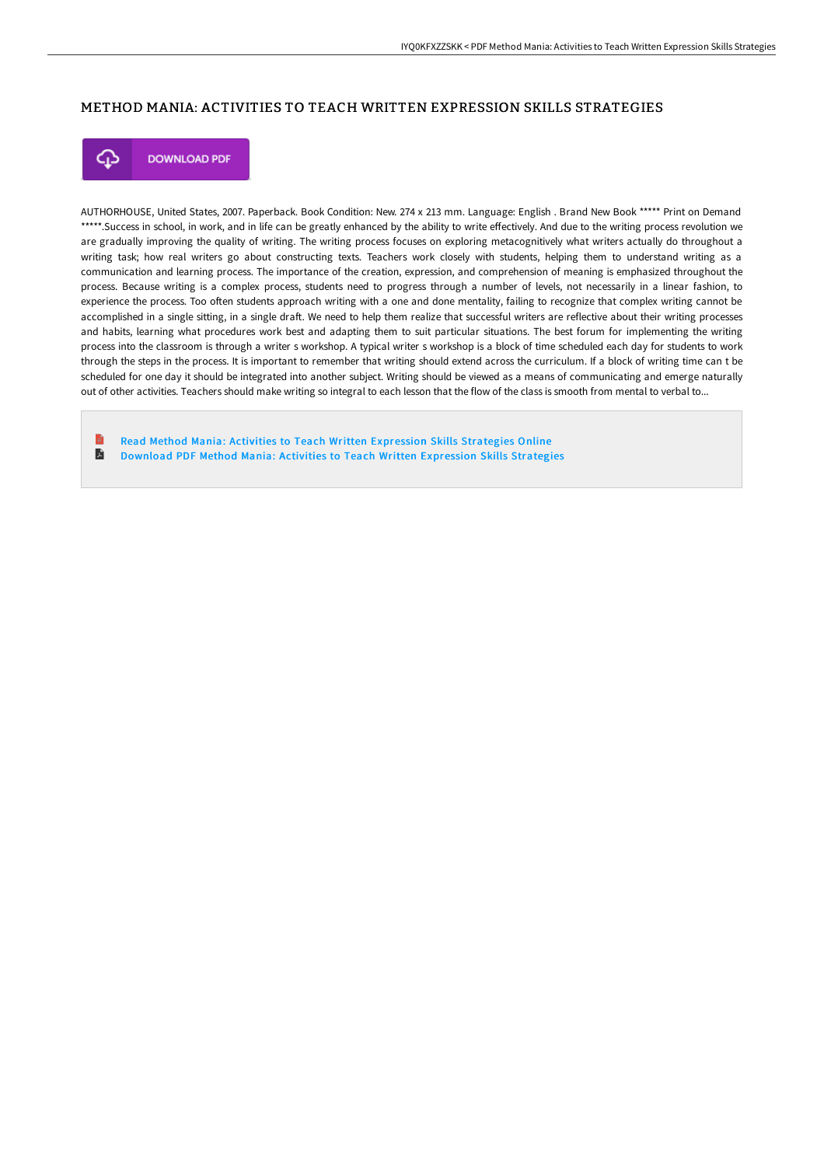## METHOD MANIA: ACTIVITIES TO TEACH WRITTEN EXPRESSION SKILLS STRATEGIES



**DOWNLOAD PDF** 

AUTHORHOUSE, United States, 2007. Paperback. Book Condition: New. 274 x 213 mm. Language: English . Brand New Book \*\*\*\*\* Print on Demand \*\*\*\*\*.Success in school, in work, and in life can be greatly enhanced by the ability to write effectively. And due to the writing process revolution we are gradually improving the quality of writing. The writing process focuses on exploring metacognitively what writers actually do throughout a writing task; how real writers go about constructing texts. Teachers work closely with students, helping them to understand writing as a communication and learning process. The importance of the creation, expression, and comprehension of meaning is emphasized throughout the process. Because writing is a complex process, students need to progress through a number of levels, not necessarily in a linear fashion, to experience the process. Too often students approach writing with a one and done mentality, failing to recognize that complex writing cannot be accomplished in a single sitting, in a single draft. We need to help them realize that successful writers are reflective about their writing processes and habits, learning what procedures work best and adapting them to suit particular situations. The best forum for implementing the writing process into the classroom is through a writer s workshop. A typical writer s workshop is a block of time scheduled each day for students to work through the steps in the process. It is important to remember that writing should extend across the curriculum. If a block of writing time can t be scheduled for one day it should be integrated into another subject. Writing should be viewed as a means of communicating and emerge naturally out of other activities. Teachers should make writing so integral to each lesson that the flow of the class is smooth from mental to verbal to...

Read Method Mania: Activities to Teach Written [Expression](http://bookera.tech/method-mania-activities-to-teach-written-express.html) Skills Strategies Online  $\blacksquare$ Download PDF Method Mania: Activities to Teach Written [Expression](http://bookera.tech/method-mania-activities-to-teach-written-express.html) Skills Strategies